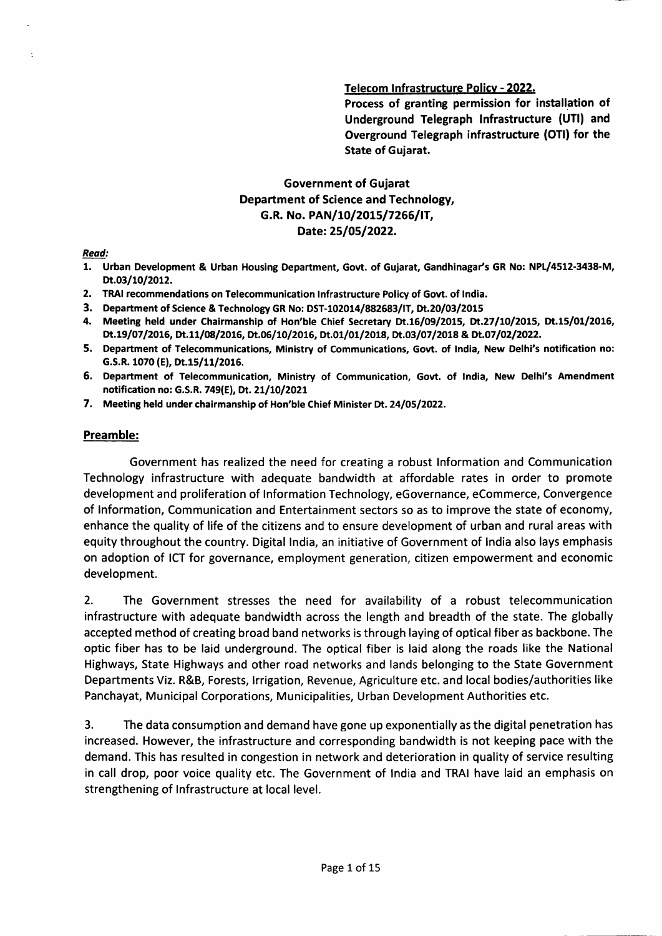#### Telecom Infrastructure Policy - 2022.

Process of granting permission for installation of Underground Telegraph lnfrastructure (UTl) and Overground Telegraph infrastructure (OTI) for the State of Guiarat.

# Government of Guiarat Department of Science and Technology, G.R. No. PAN/10/2015/7266/IT, Date: 25/05/2022.

Read:

- 1. Urban Development & Urban Housing Department, Govt. of Gujarat, Gandhinagar's GR No: NPL/4512-3438-M, Dt.03/10/2012.
- 2. TRAI recommendations on Telecommunication Infrastructure Policy of Govt. of India.
- 3. Department of Science & Technology GR No: DST-102014/882683/IT, Dt.20/03/2015
- 4. Meeting held under Chairmanship of Hon'ble Chief Secretary Dt.16/09/2015, Dt.27/10/2015, Dt.15/01/2016, Dt.19/07/2016, Dt.11/08/2016, Dt.06/10/2016, Dt.01/01/2018, Dt.03/07/2018 & Dt.07/02/2022.
- 5. Department of Telecommunications, Ministry of Communications, Govt. of India, New Delhi's notification no: G.S.R. 1070 (E), Dt.15/11/2016.
- 5, Department of Telecommunication, Ministry of Communication, Govt, of lndia, New Delhl's Amendment notification no: G.S.R. 749(E), Dt. 21/10/2021
- 7. Meeting held under chairmanship of Hon'ble Chief Minister Dt. 24/05/2022.

#### Preamble:

Government has realized the need for creating a robust lnformation and Communication Technology infrastructure with adequate bandwidth at affordable rates in order to promote development and proliferation of lnformation Technology, eGovernance, eCommerce, Convergence of lnformation, Communication and Entertainment sectors so as to improve the state of economy, enhance the quality of life of the citizens and to ensure development of urban and rural areas with equity throughout the country. Digital lndia, an initiative of Government of lndia also lays emphasis on adoption of ICT for governance, employment generation, citizen empowerment and economic development.

2. The Government stresses the need for availability of a robust telecommunication infrastructure with adequate bandwidth across the length and breadth of the state. The globally accepted method of creating broad band networks is through laying of optical fiber as backbone. The optic fiber has to be laid underground. The optical fiber is laid along the roads like the National Highways, State Highways and other road networks and lands belonging to the State Government Departments Viz. R&8, Forests, lrrigation, Revenue, Agriculture etc. and local bodies/authorities like Panchayat, Municipal Corporations, Municipalities, Urban Development Authorities etc.

3. The data consumption and demand have gone up exponentially as the digital penetration has increased. However, the infrastructure and corresponding bandwidth is not keeping pace with the demand. This has resulted in congestion in network and deterioration in quality of service resulting in call drop, poor voice quality etc. The Government of lndia and TRAI have laid an emphasis on strengthening of lnfrastructure at local level.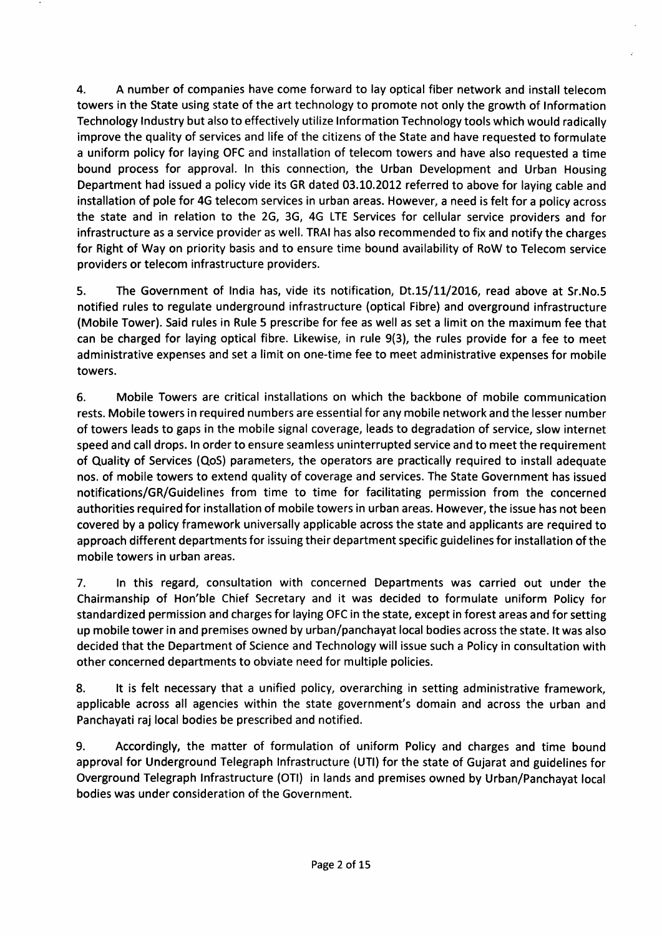4. A number of companies have come forward to lay optical fiber network and install telecom towers in the State using state of the art technology to promote not only the growth of lnformation Technology lndustry but also to effectively utilize lnformation Technology tools which would radically improve the quality of services and life of the citizens of the State and have requested to formulate a uniform policy for laying OFC and installation of telecom towers and have also requested a time bound process for approval. ln this connection, the Urban Development and Urban Housing Department had issued a policy vide its GR dated 03.10.2012 referred to above for laying cable and installation of pole for 4G telecom services in urban areas. However, a need is felt for a policy across the state and in relation to the 2G, 3G, 4G LTE Services for cellular service providers and for infrastructure as a service provider as well. TRAI has also recommended to fix and notify the charges for Right of Way on priority basis and to ensure time bound availability of RoW to Telecom service providers or telecom infrastructure providers.

5. The Government of India has, vide its notification, Dt.15/11/2016, read above at Sr.No.5 notified rules to regulate underground infrastructure (optical Fibre) and overground infrastructure (Mobile Tower). Said rules in Rule 5 prescribe for fee as well as set a limit on the maximum fee that can be charged for laying optical fibre. Likewise, in rule 9(3), the rules provide for a fee to meet administrative expenses and set a limit on one-time fee to meet administrative expenses for mobile towers.

6. Mobile Towers are critical installations on which the backbone of mobile communication rests. Mobile towers in required numbers are essential for any mobile network and the lesser number of towers leads to gaps in the mobile signal coverage, leads to degradation of service, slow internet speed and call drops. ln order to ensure seamless uninterrupted service and to meet the requirement of Quality of Services (QoS) parameters, the operators are practically required to install adequate nos. of mobile towers to extend quality of coverage and services. The State Government has issued notifications/GR/Guidelines from time to time for facilitating permission from the concerned authorities required for installation of mobile towers in urban areas. However, the issue has not been covered by a policy framework universally applicable across the state and applicants are required to approach different departments for issuing their department specific guidelines for installation of the mobile towers in urban areas.

7. In this regard, consultation with concerned Departments was carried out under the Chairmanship of Hon'ble Chief Secretary and it was decided to formulate uniform Policy for standardized permission and charges for laying OFC in the state, except in forest areas and for setting up mobile tower in and premises owned by urban/panchayat local bodies across the state. lt was also decided that the Department of Science and Technology will issue such a Policy in consultation with other concerned departments to obviate need for multiple policies.

8. lt is felt necessary that a unified policy, overarching in setting administrative framework, applicable across all agencies within the state government's domain and across the urban and Panchayati raj local bodies be prescribed and notified.

9. Accordingly, the matter of formulation of uniform Policy and charges and time bound approval for Underground Telegraph lnfrastructure (UTl) for the state of Gujarat and guidelines for Overground Telegraph lnfrastructure (OTl) in lands and premises owned by Urban/Panchayat local bodies was under consideration of the Government.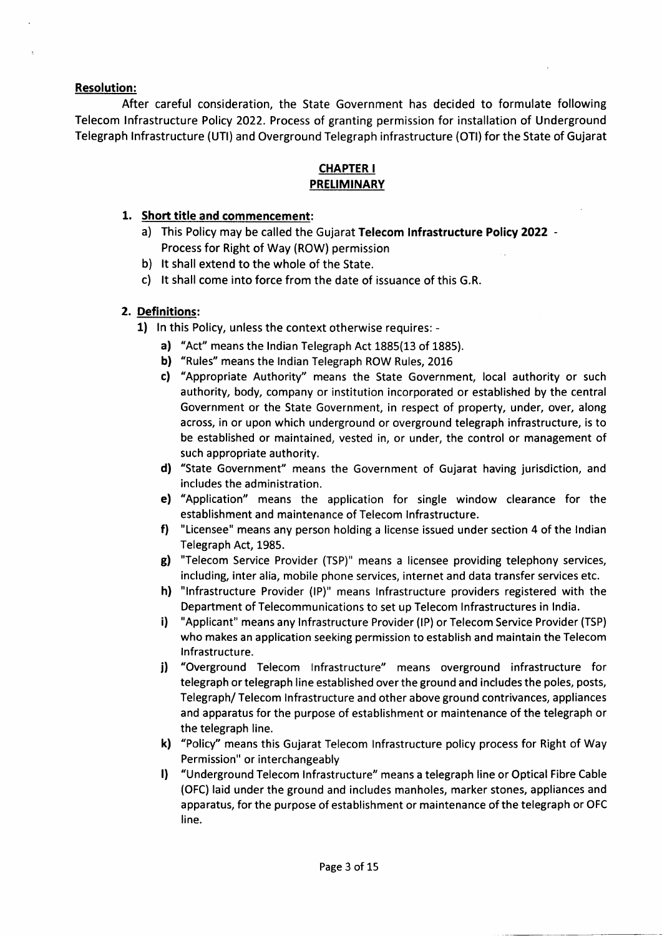#### **Resolution:**

After careful consideration, the State Government has decided to formulate following Telecom lnfrastructure Policy 2022. Process of granting permission for installation of Underground Telegraph lnfrastructure (UTl) and Overground Telegraph infrastructure (OTl) for the State of Gujarat

## CHAPTER I PRELIMINARY

#### 1. Short title and commencement:

- a) This Policy may be called the Gujarat Telecom Infrastructure Policy 2022 -Process for Right of Way (ROW) permission
- b) lt shall extend to the whole of the State.
- c) lt shall come into force from the date of issuance of this G.R.

## 2. Deflnitions:

- 1) ln this Policy, unless the context otherwise requires:
	- a) "Act" means the lndian Telegraph Act 1885(13 of 1885).
	- b) "Rules" means the Indian Telegraph ROW Rules, 2016
	- c) "Appropriate Authority" means the State Government, local authority or such authority, body, company or institution incorporated or established by the central Government or the State Government, in respect of property, under, over, along across, in or upon which underground or overground telegraph infrastructure, is to be established or maintained, vested in, or under, the control or management of such appropriate authority.
	- d) "State Government" means the Government of Gujarat having jurisdiction, and includes the administration,
	- e) "Application" means the application for single window clearance for the establishment and maintenance of Telecom lnfrastructure.
	- f) "Licensee" means any person holding a license issued under section 4 of the lndian Telegraph Act, 1985.
	- g) "Telecom Service Provider (TSP)" means a licensee providing telephony services, including, inter alia, mobile phone services, internet and data transfer services etc.
	- h) "lnfrastruclure Provider (lP)" means lnfrastructure providers registered with the Department of Telecommunications to set up Telecom lnfrastructures in lndia.
	- i) "Applicant" means any Infrastructure Provider (IP) or Telecom Service Provider (TSP) who makes an application seeking permission to establish and maintain the Telecom lnfrastructure,
	- j) "Overground Telecom Infrastructure" means overground infrastructure for telegraph or telegraph line established over the ground and includes the poles, posts, Telegraph/ Telecom lnfrastructure and other above ground contrivances, appliances and apparatus for the purpose of establishment or maintenance of the telegraph or the telegraph line.
	- k) "Policy" means this Gujarat Telecom Infrastructure policy process for Right of Way Permission" or interchangeably
	- l) "Underground Telecom lnfrastructure" means a telegraph line or Optical Fibre Cable (OFC) laid under the ground and includes manholes, marker stones, appliances and apparatus, for the purpose of establishment or maintenance of the telegraph or OFC line.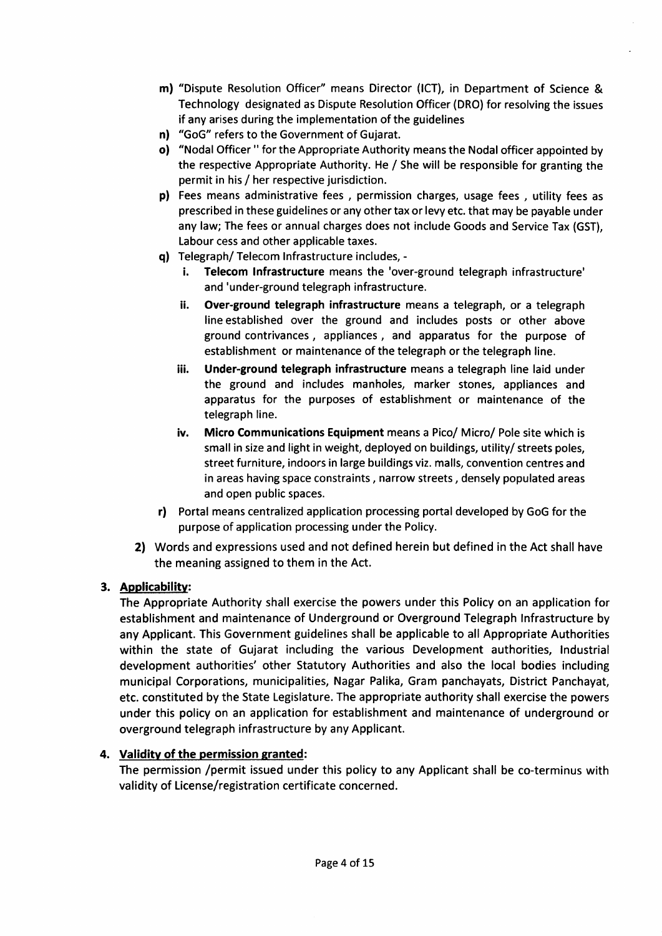- m) "Dispute Resolution Officer" means Director (lCT), in Department of Science & Technology designated as Dispute Resolution Officer (DRO) for resolving the issues if any arises during the implementation of the guidelines
- n) "GoG" refers to the Government of Gujarat.
- o) "Nodal Officer " for the Appropriate Authority means the Nodal officer appointed by the respective Appropriate Authority. He / She will be responsible for granting the permit in his / her respective jurisdiction.
- p) Fees means administrative fees , permission charges, usage fees , utility fees as prescribed in these guidelines or any other tax or levy etc. that may be payable under any law; The fees or annual charges does not include Goods and Service Tax (GST), Labour cess and other applicable taxes.
- q) Telegraph/ Telecom lnfrastructure includes,
	- i. Telecom lnfrastructure means the 'over-ground telegraph infrastructure' and'under-ground telegraph infrastructure.
	- ii. Over-ground telegraph infrastructure means a telegraph, or a telegraph line established over the ground and includes posts or other above ground contrivances, appliances , and apparatus for the purpose of establishment or maintenance of the telegraph or the telegraph line.
	- iii. Under-ground telegraph infrastructure means a telegraph line laid under the ground and includes manholes, marker stones, appliances and apparatus for the purposes of establishment or maintenance of the telegraph line.
	- iv. Micro Communications Equipment means a Pico/ Micro/ Pole site which is small in size and light in weight, deployed on buildings, utility/ streets poles, street furniture, indoors in large buildings viz. malls, convention centres and in areas having space constraints, narrow streets, densely populated areas and open public spaces.
- rl Portal means centralized application processing portal developed by GoG for the purpose of application processing under the Policy.
- 2) Words and expressions used and not defined herein but defined in the Act shall have the meaning assigned to them in the Act.

# 3. Applicability:

The Appropriate Authority shall exercise the powers under this Policy on an application for establishment and maintenance of Underground or Overground Telegraph lnfrastructure by any Applicant. This Government guidelines shall be applicable to all Appropriate Authorities within the state of Gujarat including the various Development authorities, lndustrial development authorities' other Statutory Authorities and also the local bodies including municipal Corporations, municipalities, Nagar Palika, Gram panchayats, District Panchayat, etc. constituted by the State Legislature. The appropriate authority shall exercise the powers under this policy on an application for establishment and maintenance of underground or overground telegraph infrastructure by any Applicant.

# 4. Validity of the permission granted:

The permission /permit issued under this policy to any Applicant shall be co-terminus with validity of License/registration certificate concerned.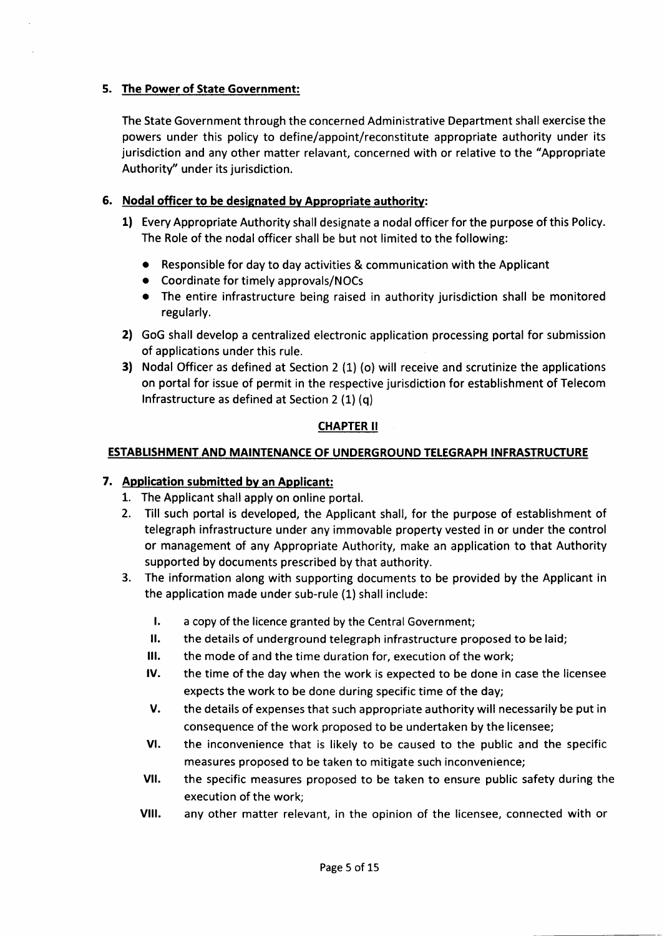## 5. The Power of State Government:

The State Government through the concerned Administrative Department shall exercise the powers under this policy to define/appoint/reconstitute appropriate authority under its jurisdiction and any other matter relavant, concerned with or relative to the "Appropriate Authority" under its jurisdiction.

# 6. Nodal officer to be designated by Appropriate authority:

- 1) Every Appropriate Authority shall designate a nodal officer for the purpose of this Policy. The Role of the nodal officer shall be but not limited to the following:
	- o Responsible for day to day activities & communication with the Applicant
	- . Coordinate for timely approvals/NOCs
	- . The entire infrastructure being raised in authority jurisdiction shall be monitored regularly.
- 2) GoG shall develop a centralized electronic application processing portal for submission of applications under this rule.
- 3) Nodal Officer as defined at Section 2 (1) (o) will receive and scrutinize the applications on portal for issue of permit in the respective jurisdiction for establishment of Telecom lnfrastructure as defined at Section 2 (1) (q)

## CHAPTER II

## <u>OF UNDERGROUND</u>

# 7. Application submitted by an Applicant:

- 1. The Applicant shall apply on online portal.
- 2. Till such portal is developed, the Applicant shall, for the purpose of establishment of telegraph infrastructure under any immovable property vested in or under the control or management of any Appropriate Authority, make an application to that Authority supported by documents prescribed by that authority.
- 3. The information along with supporting documents to be provided by the Applicant in the application made under sub-rule (1) shall include:
	- t. a copy of the licence granted by the Central Government;
	- ll. the detalls of underground telegraph infrastructure proposed to be laid;
	- il. the mode of and the time duration for, execution of the work;
	- tv. the time of the day when the work is expected to be done in case the licensee expects the work to be done during specific time of the day;
	- v. the details of expenses that such appropriate authority will necessarily be put in consequence of the work proposed to be undertaken by the licensee;
	- vt, the inconvenience that is likely to be caused to the public and the specific measures proposed to be taken to mitigate such inconvenience;
	- v<sub>II</sub> the specific measures proposed to be taken to ensure public safety during the execution of the work;
	- vIII. any other matter relevant, in the opinion of the licensee, connected with or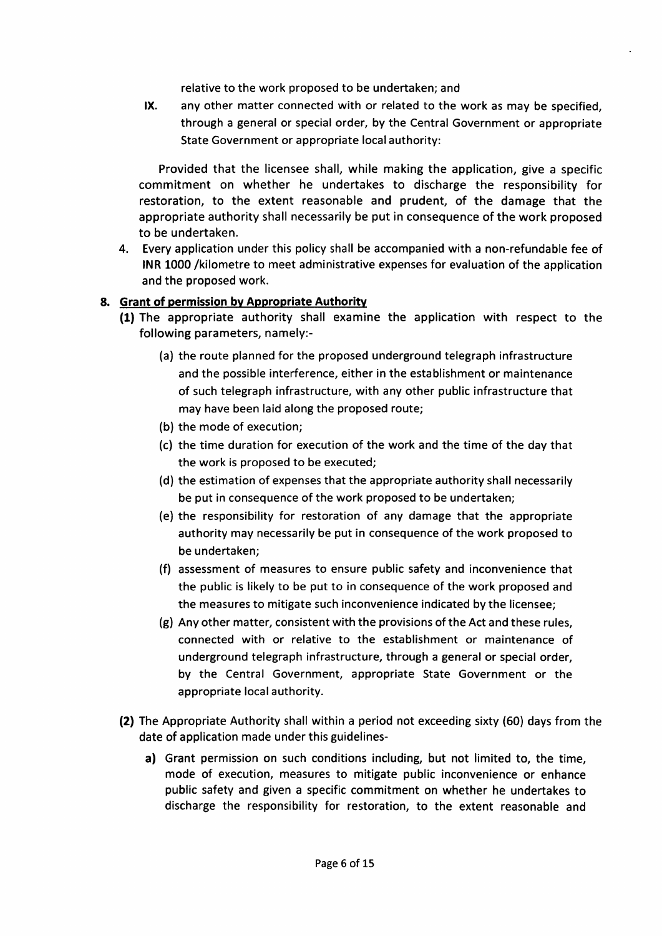relative to the work proposed to be undertaken; and

IX. any other matter connected with or related to the work as may be specified, through a general or special order, by the Central Government or appropriate State Government or appropriate local authority:

Provided that the licensee shall, while making the application, give a specific commitment on whether he undertakes to discharge the responsibility for restoration, to the extent reasonable and prudent, of the damage that the appropriate authority shall necessarily be put in consequence of the work proposed to be undertaken.

4. Every application under this policy shall be accompanied with a non-refundable fee of INR 1000 /kilometre to meet administrative expenses for evaluation of the application and the proposed work.

#### 8. Grant of permission by Appropriate Authority

- (1) The appropriate authority shall examine the application with respect to the following parameters, namely:-
	- (a) the route planned for the proposed underground telegraph infrastructure and the possible interference, either in the establishment or maintenance of such telegraph infrastructure, with any other public infrastructure that may have been laid along the proposed route;
	- (b) the mode of execution;
	- (c) the time duration for execution of the work and the time of the day that the work is proposed to be executed;
	- (d) the estimation of expenses that the appropriate authority shall necessarily be put in consequence of the work proposed to be undertaken;
	- (e) the responsibility for restoration of any damage that the appropriate authority may necessarily be put in consequence of the work proposed to be undertaken;
	- (f) assessment of measures to ensure public safety and inconvenience that the public is likely to be put to in consequence of the work proposed and the measures to mitigate such inconvenience indicated by the licensee;
	- (g) Any other matter, consistent with the provisions ofthe Act and these rules, connected with or relative to the establishment or maintenance of underground telegraph infrastructure, through a general or special order, by the Central Government, appropriate State Government or the appropriate local authority.
- (2) The Appropriate Authority shall within a period not exceeding sixty (60) days from the date of application made under this guidelines
	- a) Grant permission on such conditions including, but not limited to, the time, mode of execution, measures to mitigate public inconvenience or enhance public safety and given a specific commitment on whether he undertakes to discharge the responsibility for restoration, to the extent reasonable and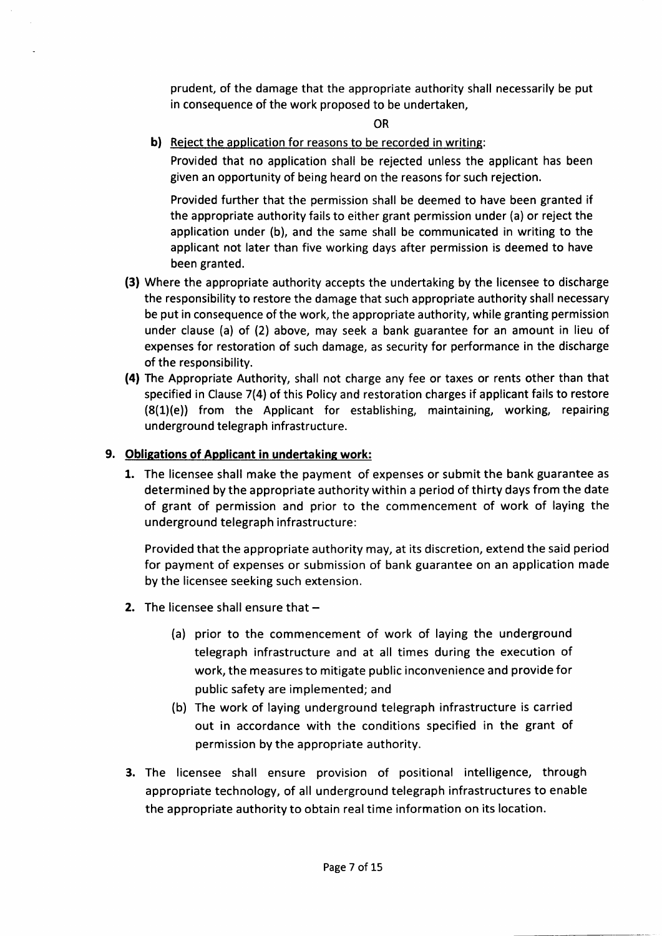prudent, of the damage that the appropriate authority shall necessarily be put in consequence of the work proposed to be undertaken,

OR

b) Reject the application for reasons to be recorded in writing:

Provided that no application shall be rejected unless the applicant has been given an opportunity of being heard on the reasons for such rejection.

Provided further that the permission shall be deemed to have been granted if the appropriate authority fails to either grant permission under (a) or reject the application under (b), and the same shall be communicated in writing to the applicant not later than five working days after permission is deemed to have been granted.

- (3) Where the appropriate authority accepts the undertaking by the licensee to discharge the responsibility to restore the damage that such appropriate authority shall necessary be put in consequence ofthe work, the appropriate authority, while granting permission under clause (a) of (2) above, may seek a bank guarantee for an amount in lieu of expenses for restoration of such damage, as security for performance in the discharge of the responsibility.
- (4) The Appropriate Authority, shall not charge any fee or taxes or rents other than that specified in Clause 7(4) of this Policy and restoration charges if applicant fails to restore  $(8(1)(e))$  from the Applicant for establishing, maintaining, working, repairing underground telegraph infrastructure.

## 9. Obligations of Applicant in undertaking work:

1. The licensee shall make the payment of expenses or submit the bank guarantee as determined by the appropriate authority within a period of thirty days from the date of grant of permission and prior to the commencement of work of laying the underground telegraph infrastructure:

Provided that the appropriate authority may, at its discretion, extend the said period for payment of expenses or submission of bank guarantee on an application made by the licensee seeking such extension.

- 2. The licensee shall ensure that  $-$ 
	- (a) prior to the commencement of work of laying the underground telegraph infrastructure and at all times during the execution of work, the measures to mitigate public inconvenience and provide for public safety are implemented; and
	- (b) The work of laying underground telegraph infrastructure is carried out in accordance with the conditions specified in the grant of permission by the appropriate authority.
- 3. The licensee shall ensure provision of positional intelligence, through appropriate technology, of all underground telegraph infrastructures to enable the appropriate authority to obtain real time information on its location.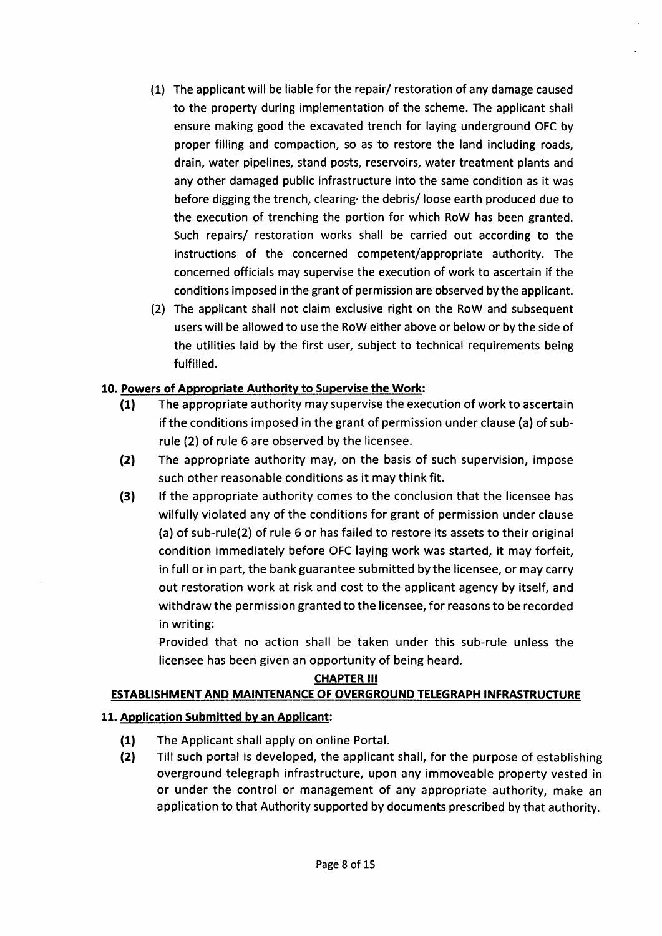- (1) The applicant will be liable for the repair/ restoration of any damage caused to the property during implementation of the scheme. The applicant shall ensure making good the excavated trench for laying underground OFC by proper filling and compaction, so as to restore the land including roads, drain, water pipelines, stand posts, reservoirs, water treatment plants and any other damaged public infrastructure into the same condition as it was before digging the trench, clearing the debris/ loose earth produced due to the execution of trenching the portion for which RoW has been granted. Such repairs/ restoration works shall be carried out according to the instructions of the concerned competent/appropriate authority. The concerned officials may supervise the execution of work to ascertain if the conditions imposed in the grant of permission are observed by the applicant.
- (2) The applicant shall not claim exclusive right on the RoW and subsequent users will be allowed to use the RoW either above or below or by the side of the utilities laid by the first user, subject to technical requirements being fulfilled.

- 10. Powers of Appropriate Authority to Supervise the Work:<br>
(1) The appropriate authority may supervise the execution of work to ascertain if the conditions imposed in the grant of permission under clause (a) of subrule (2) of rule 6 are observed by the licensee.
	- (2) The appropriate authority may, on the basis of such supervision, impose such other reasonable conditions as it may think fit.
	- (3) If the appropriate authority comes to the conclusion that the licensee has wilfully violated any of the conditions for grant of permission under clause (a) of sub-rule(2) of rule 6 or has failed to restore its assets to their original condition immediately before OFC laying work was started, it may forfeit, in full or in part, the bank guarantee submitted bythe licensee, or may carry out restoration work at risk and cost to the applicant agency by itself, and withdraw the permission granted to the licensee, for reasons to be recorded in writing:

Provided that no action shall be taken under this sub-rule unless the licensee has been given an opportunity of being heard.

# **CHAPTER III**

# ESTABLISHMENT AND MAINTENANCE OF OVERGROUND TELEGRAPH INFRASTRUCTURE

# 11. Application Submitted by an Applicant:

- The Applicant shall apply on online Portal. (1)
- Till such portal is developed, the applicant shall, for the purpose of establishing overground telegraph infrastructure, upon any immoveable property vested in or under the control or management of any appropriate authority, make an application to that Authority supported by documents prescribed by that authority. (2)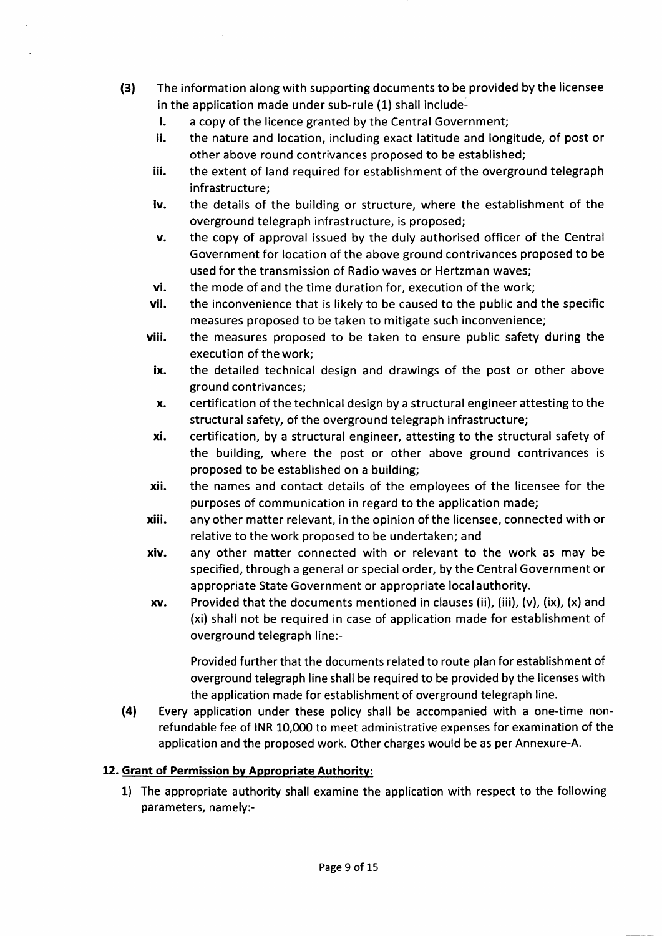- (31 The information along with supporting documents to be provided by the licensee in the application made under sub-rule (1) shall include
	- l. a copy of the licence granted by the Central Government;
	- ii. the nature and location, including exact latitude and longitude, of post or other above round contrivances proposed to be established;
	- iii. the extent of land required for establishment of the overground telegraph infrastructure;
	- iv. the details of the building or structure, where the establishment of the overground telegraph infrastructure, is proposed;
	- v. the copy of approval issued by the duly authorised officer of the Central Government for location of the above ground contrivances proposed to be used for the transmission of Radio waves or Hertzman waves;
	- vi. the mode of and the time duration for, execution of the work;
	- vii. the inconvenience that is likely to be caused to the public and the specific measures proposed to be taken to mitigate such inconvenience;
	- viii. the measures proposed to be taken to ensure public safety during the execution of the work;
	- ix. the detailed technical design and drawings of the post or other above ground contrivances;
	- x. certification of the technical design by a structural engineer attesting to the structural safety, of the overground telegraph infrastructure;
	- xi. certification, by a structural engineer, attesting to the structural safety of the building, where the post or other above ground contrivances is proposed to be established on a building;
	- xii, the names and contact details of the employees of the licensee for the purposes of communication in regard to the application made;
	- xiii. anyother matter relevant, in the opinion ofthe licensee, connected with or relative to the work proposed to be undertaken; and
	- xiv. any other matter connected with or relevant to the work as may be specified, through a general or special order, by the Central Government or appropriate State Government or appropriate local authority.
	- $xv.$  Provided that the documents mentioned in clauses (ii), (iii), (v), (ix), (x) and (xi) shall not be required in case of application made for establishment of overground telegraph line:-

Provided further that the documents related to route plan for establishment of overground telegraph line shall be required to be provided by the licenses with the application made for establishment of overground telegraph line.

(4) Every application under these policy shall be accompanied with a one-time nonrefundable fee of INR 10,000 to meet administrative expenses for examination of the application and the proposed work. Other charges would be as per Annexure-A.

# 12. Grant of Permission by Appropriate Authority:

1) The appropriate authority shall examine the application with respect to the following parameters, namely:-